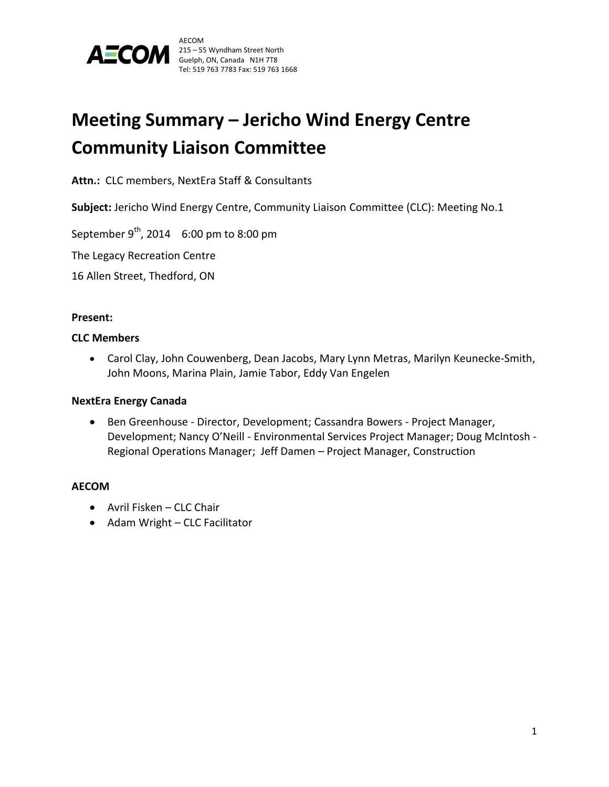

# **Meeting Summary – Jericho Wind Energy Centre Community Liaison Committee**

**Attn.:** CLC members, NextEra Staff & Consultants

**Subject:** Jericho Wind Energy Centre, Community Liaison Committee (CLC): Meeting No.1

September  $9^{th}$ , 2014 6:00 pm to 8:00 pm

The Legacy Recreation Centre

16 Allen Street, Thedford, ON

#### **Present:**

### **CLC Members**

 Carol Clay, John Couwenberg, Dean Jacobs, Mary Lynn Metras, Marilyn Keunecke-Smith, John Moons, Marina Plain, Jamie Tabor, Eddy Van Engelen

#### **NextEra Energy Canada**

 Ben Greenhouse - Director, Development; Cassandra Bowers - Project Manager, Development; Nancy O'Neill - Environmental Services Project Manager; Doug McIntosh - Regional Operations Manager; Jeff Damen – Project Manager, Construction

# **AECOM**

- Avril Fisken CLC Chair
- Adam Wright CLC Facilitator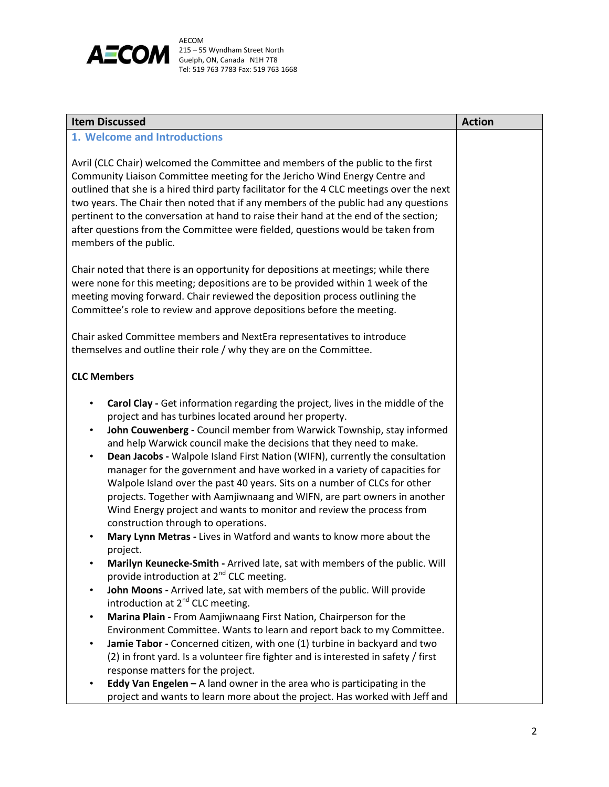

| <b>Item Discussed</b>                                                                                                                                                                                                                                                                                                                                                                                                                                                                                                                                                                                                                                                                                                                                                                                                                                                                                                                                                                                                                                                                                             | <b>Action</b> |
|-------------------------------------------------------------------------------------------------------------------------------------------------------------------------------------------------------------------------------------------------------------------------------------------------------------------------------------------------------------------------------------------------------------------------------------------------------------------------------------------------------------------------------------------------------------------------------------------------------------------------------------------------------------------------------------------------------------------------------------------------------------------------------------------------------------------------------------------------------------------------------------------------------------------------------------------------------------------------------------------------------------------------------------------------------------------------------------------------------------------|---------------|
| 1. Welcome and Introductions                                                                                                                                                                                                                                                                                                                                                                                                                                                                                                                                                                                                                                                                                                                                                                                                                                                                                                                                                                                                                                                                                      |               |
| Avril (CLC Chair) welcomed the Committee and members of the public to the first<br>Community Liaison Committee meeting for the Jericho Wind Energy Centre and<br>outlined that she is a hired third party facilitator for the 4 CLC meetings over the next<br>two years. The Chair then noted that if any members of the public had any questions<br>pertinent to the conversation at hand to raise their hand at the end of the section;<br>after questions from the Committee were fielded, questions would be taken from<br>members of the public.                                                                                                                                                                                                                                                                                                                                                                                                                                                                                                                                                             |               |
| Chair noted that there is an opportunity for depositions at meetings; while there<br>were none for this meeting; depositions are to be provided within 1 week of the<br>meeting moving forward. Chair reviewed the deposition process outlining the<br>Committee's role to review and approve depositions before the meeting.                                                                                                                                                                                                                                                                                                                                                                                                                                                                                                                                                                                                                                                                                                                                                                                     |               |
| Chair asked Committee members and NextEra representatives to introduce<br>themselves and outline their role / why they are on the Committee.                                                                                                                                                                                                                                                                                                                                                                                                                                                                                                                                                                                                                                                                                                                                                                                                                                                                                                                                                                      |               |
| <b>CLC Members</b>                                                                                                                                                                                                                                                                                                                                                                                                                                                                                                                                                                                                                                                                                                                                                                                                                                                                                                                                                                                                                                                                                                |               |
| Carol Clay - Get information regarding the project, lives in the middle of the<br>٠<br>project and has turbines located around her property.<br>John Couwenberg - Council member from Warwick Township, stay informed<br>$\bullet$<br>and help Warwick council make the decisions that they need to make.<br>Dean Jacobs - Walpole Island First Nation (WIFN), currently the consultation<br>$\bullet$<br>manager for the government and have worked in a variety of capacities for<br>Walpole Island over the past 40 years. Sits on a number of CLCs for other<br>projects. Together with Aamjiwnaang and WIFN, are part owners in another<br>Wind Energy project and wants to monitor and review the process from<br>construction through to operations.<br>Mary Lynn Metras - Lives in Watford and wants to know more about the<br>project.<br>Marilyn Keunecke-Smith - Arrived late, sat with members of the public. Will<br>provide introduction at 2 <sup>nd</sup> CLC meeting.<br>John Moons - Arrived late, sat with members of the public. Will provide<br>introduction at 2 <sup>nd</sup> CLC meeting. |               |
| Marina Plain - From Aamjiwnaang First Nation, Chairperson for the                                                                                                                                                                                                                                                                                                                                                                                                                                                                                                                                                                                                                                                                                                                                                                                                                                                                                                                                                                                                                                                 |               |
| Environment Committee. Wants to learn and report back to my Committee.<br>Jamie Tabor - Concerned citizen, with one (1) turbine in backyard and two<br>٠<br>(2) in front yard. Is a volunteer fire fighter and is interested in safety / first<br>response matters for the project.                                                                                                                                                                                                                                                                                                                                                                                                                                                                                                                                                                                                                                                                                                                                                                                                                               |               |
| Eddy Van Engelen $-$ A land owner in the area who is participating in the<br>project and wants to learn more about the project. Has worked with Jeff and                                                                                                                                                                                                                                                                                                                                                                                                                                                                                                                                                                                                                                                                                                                                                                                                                                                                                                                                                          |               |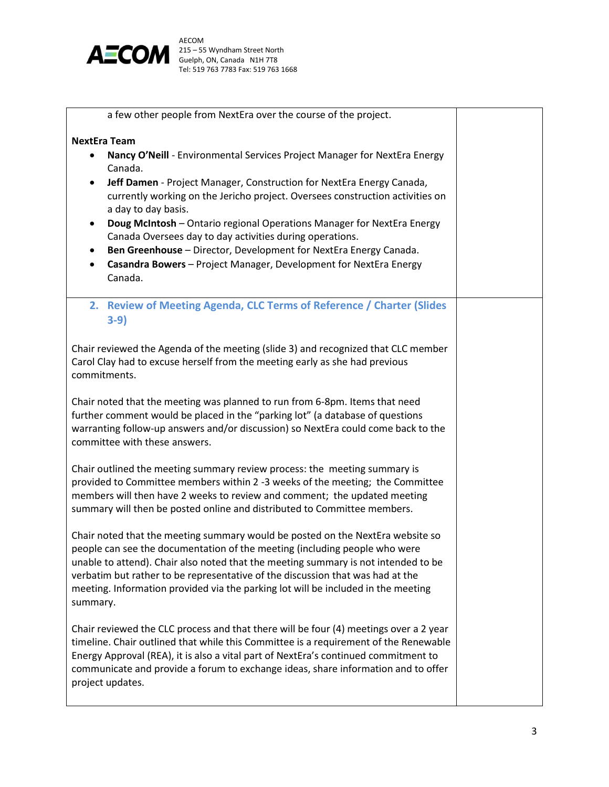

| a few other people from NextEra over the course of the project.                       |  |
|---------------------------------------------------------------------------------------|--|
| <b>NextEra Team</b>                                                                   |  |
|                                                                                       |  |
| Nancy O'Neill - Environmental Services Project Manager for NextEra Energy<br>٠        |  |
| Canada.                                                                               |  |
| Jeff Damen - Project Manager, Construction for NextEra Energy Canada,<br>$\bullet$    |  |
| currently working on the Jericho project. Oversees construction activities on         |  |
| a day to day basis.                                                                   |  |
| Doug McIntosh - Ontario regional Operations Manager for NextEra Energy<br>٠           |  |
| Canada Oversees day to day activities during operations.                              |  |
| Ben Greenhouse - Director, Development for NextEra Energy Canada.<br>$\bullet$        |  |
| Casandra Bowers - Project Manager, Development for NextEra Energy<br>$\bullet$        |  |
|                                                                                       |  |
| Canada.                                                                               |  |
| 2. Review of Meeting Agenda, CLC Terms of Reference / Charter (Slides                 |  |
|                                                                                       |  |
| $3-9)$                                                                                |  |
|                                                                                       |  |
| Chair reviewed the Agenda of the meeting (slide 3) and recognized that CLC member     |  |
| Carol Clay had to excuse herself from the meeting early as she had previous           |  |
| commitments.                                                                          |  |
|                                                                                       |  |
| Chair noted that the meeting was planned to run from 6-8pm. Items that need           |  |
| further comment would be placed in the "parking lot" (a database of questions         |  |
| warranting follow-up answers and/or discussion) so NextEra could come back to the     |  |
| committee with these answers.                                                         |  |
|                                                                                       |  |
| Chair outlined the meeting summary review process: the meeting summary is             |  |
| provided to Committee members within 2 -3 weeks of the meeting; the Committee         |  |
| members will then have 2 weeks to review and comment; the updated meeting             |  |
| summary will then be posted online and distributed to Committee members.              |  |
|                                                                                       |  |
| Chair noted that the meeting summary would be posted on the NextEra website so        |  |
| people can see the documentation of the meeting (including people who were            |  |
|                                                                                       |  |
| unable to attend). Chair also noted that the meeting summary is not intended to be    |  |
| verbatim but rather to be representative of the discussion that was had at the        |  |
| meeting. Information provided via the parking lot will be included in the meeting     |  |
| summary.                                                                              |  |
|                                                                                       |  |
| Chair reviewed the CLC process and that there will be four (4) meetings over a 2 year |  |
| timeline. Chair outlined that while this Committee is a requirement of the Renewable  |  |
| Energy Approval (REA), it is also a vital part of NextEra's continued commitment to   |  |
| communicate and provide a forum to exchange ideas, share information and to offer     |  |
| project updates.                                                                      |  |
|                                                                                       |  |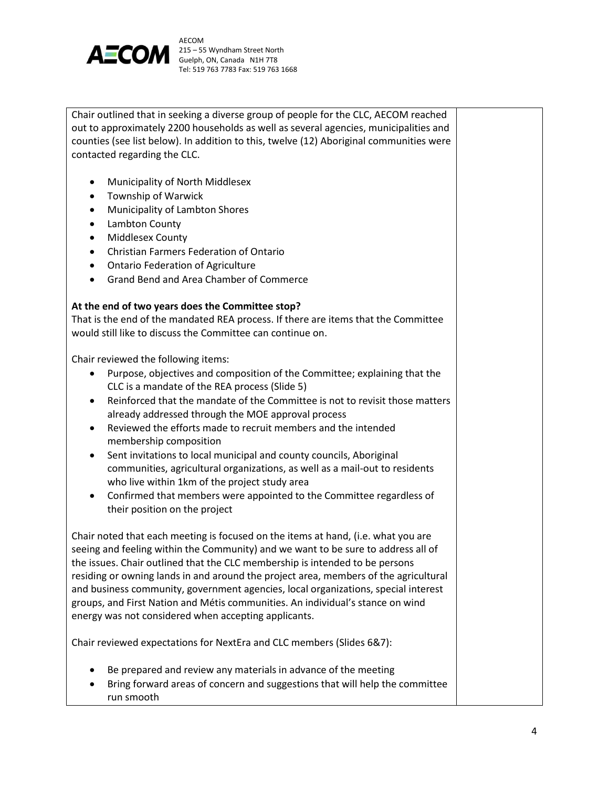

Chair outlined that in seeking a diverse group of people for the CLC, AECOM reached out to approximately 2200 households as well as several agencies, municipalities and counties (see list below). In addition to this, twelve (12) Aboriginal communities were contacted regarding the CLC.

- Municipality of North Middlesex
- Township of Warwick
- Municipality of Lambton Shores
- Lambton County
- Middlesex County
- Christian Farmers Federation of Ontario
- Ontario Federation of Agriculture
- Grand Bend and Area Chamber of Commerce

#### **At the end of two years does the Committee stop?**

That is the end of the mandated REA process. If there are items that the Committee would still like to discuss the Committee can continue on.

Chair reviewed the following items:

- Purpose, objectives and composition of the Committee; explaining that the CLC is a mandate of the REA process (Slide 5)
- Reinforced that the mandate of the Committee is not to revisit those matters already addressed through the MOE approval process
- Reviewed the efforts made to recruit members and the intended membership composition
- Sent invitations to local municipal and county councils, Aboriginal communities, agricultural organizations, as well as a mail-out to residents who live within 1km of the project study area
- Confirmed that members were appointed to the Committee regardless of their position on the project

Chair noted that each meeting is focused on the items at hand, (i.e. what you are seeing and feeling within the Community) and we want to be sure to address all of the issues. Chair outlined that the CLC membership is intended to be persons residing or owning lands in and around the project area, members of the agricultural and business community, government agencies, local organizations, special interest groups, and First Nation and Métis communities. An individual's stance on wind energy was not considered when accepting applicants.

Chair reviewed expectations for NextEra and CLC members (Slides 6&7):

- Be prepared and review any materials in advance of the meeting
- Bring forward areas of concern and suggestions that will help the committee run smooth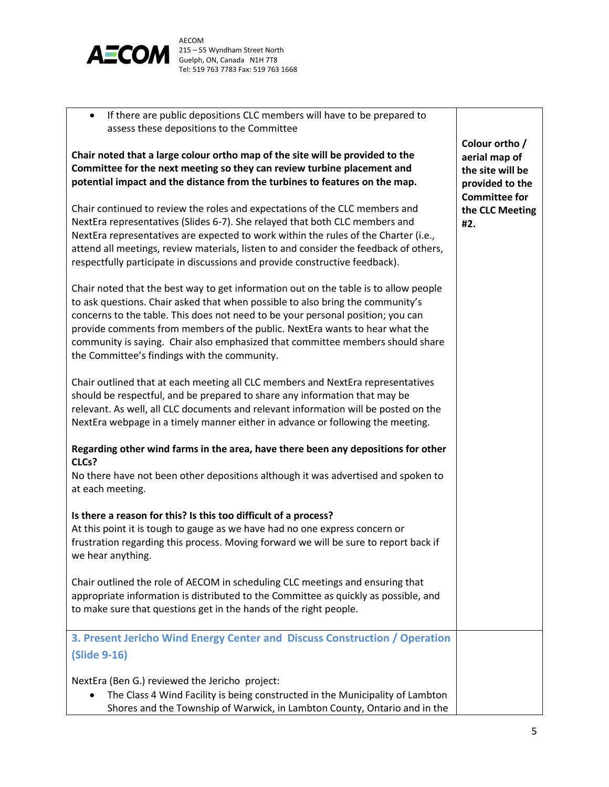

 If there are public depositions CLC members will have to be prepared to assess these depositions to the Committee

**Chair noted that a large colour ortho map of the site will be provided to the Committee for the next meeting so they can review turbine placement and potential impact and the distance from the turbines to features on the map.** 

Chair continued to review the roles and expectations of the CLC members and NextEra representatives (Slides 6-7). She relayed that both CLC members and NextEra representatives are expected to work within the rules of the Charter (i.e., attend all meetings, review materials, listen to and consider the feedback of others, respectfully participate in discussions and provide constructive feedback).

Chair noted that the best way to get information out on the table is to allow people to ask questions. Chair asked that when possible to also bring the community's concerns to the table. This does not need to be your personal position; you can provide comments from members of the public. NextEra wants to hear what the community is saying. Chair also emphasized that committee members should share the Committee's findings with the community.

Chair outlined that at each meeting all CLC members and NextEra representatives should be respectful, and be prepared to share any information that may be relevant. As well, all CLC documents and relevant information will be posted on the NextEra webpage in a timely manner either in advance or following the meeting.

# **Regarding other wind farms in the area, have there been any depositions for other CLCs?**

No there have not been other depositions although it was advertised and spoken to at each meeting.

# **Is there a reason for this? Is this too difficult of a process?**

At this point it is tough to gauge as we have had no one express concern or frustration regarding this process. Moving forward we will be sure to report back if we hear anything.

Chair outlined the role of AECOM in scheduling CLC meetings and ensuring that appropriate information is distributed to the Committee as quickly as possible, and to make sure that questions get in the hands of the right people.

**3. Present Jericho Wind Energy Center and Discuss Construction / Operation (Slide 9-16)**

NextEra (Ben G.) reviewed the Jericho project:

 The Class 4 Wind Facility is being constructed in the Municipality of Lambton Shores and the Township of Warwick, in Lambton County, Ontario and in the

**Colour ortho / aerial map of the site will be provided to the Committee for the CLC Meeting #2.**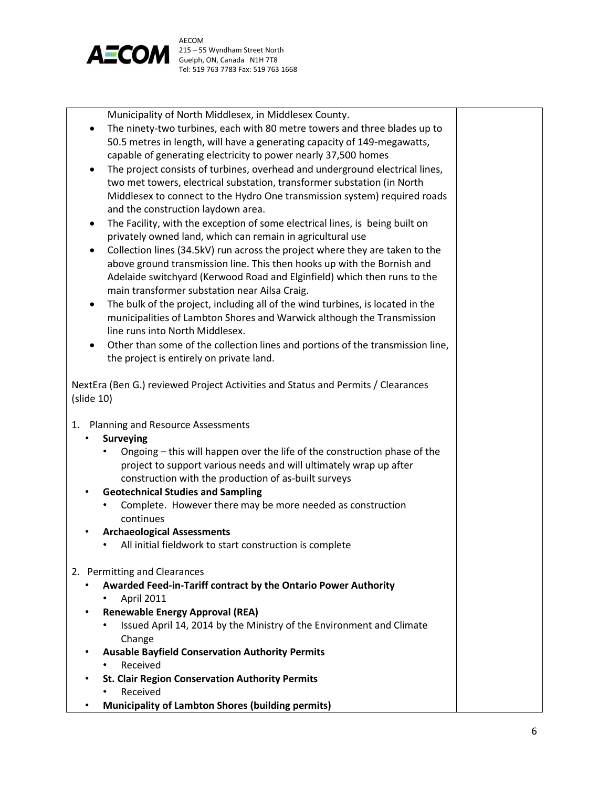

Municipality of North Middlesex, in Middlesex County.

- The ninety-two turbines, each with 80 metre towers and three blades up to 50.5 metres in length, will have a generating capacity of 149-megawatts, capable of generating electricity to power nearly 37,500 homes
- The project consists of turbines, overhead and underground electrical lines, two met towers, electrical substation, transformer substation (in North Middlesex to connect to the Hydro One transmission system) required roads and the construction laydown area.
- The Facility, with the exception of some electrical lines, is being built on privately owned land, which can remain in agricultural use
- Collection lines (34.5kV) run across the project where they are taken to the above ground transmission line. This then hooks up with the Bornish and Adelaide switchyard (Kerwood Road and Elginfield) which then runs to the main transformer substation near Ailsa Craig.
- The bulk of the project, including all of the wind turbines, is located in the municipalities of Lambton Shores and Warwick although the Transmission line runs into North Middlesex.
- Other than some of the collection lines and portions of the transmission line, the project is entirely on private land.

NextEra (Ben G.) reviewed Project Activities and Status and Permits / Clearances (slide 10)

1. Planning and Resource Assessments

# • **Surveying**

- Ongoing this will happen over the life of the construction phase of the project to support various needs and will ultimately wrap up after construction with the production of as-built surveys
- **Geotechnical Studies and Sampling**
	- Complete. However there may be more needed as construction continues
- **Archaeological Assessments** 
	- All initial fieldwork to start construction is complete
- 2. Permitting and Clearances
	- **Awarded Feed-in-Tariff contract by the Ontario Power Authority** 
		- April 2011
	- **Renewable Energy Approval (REA)** 
		- Issued April 14, 2014 by the Ministry of the Environment and Climate Change
	- **Ausable Bayfield Conservation Authority Permits**
		- **Received**
	- **St. Clair Region Conservation Authority Permits**
		- Received
	- **Municipality of Lambton Shores (building permits)**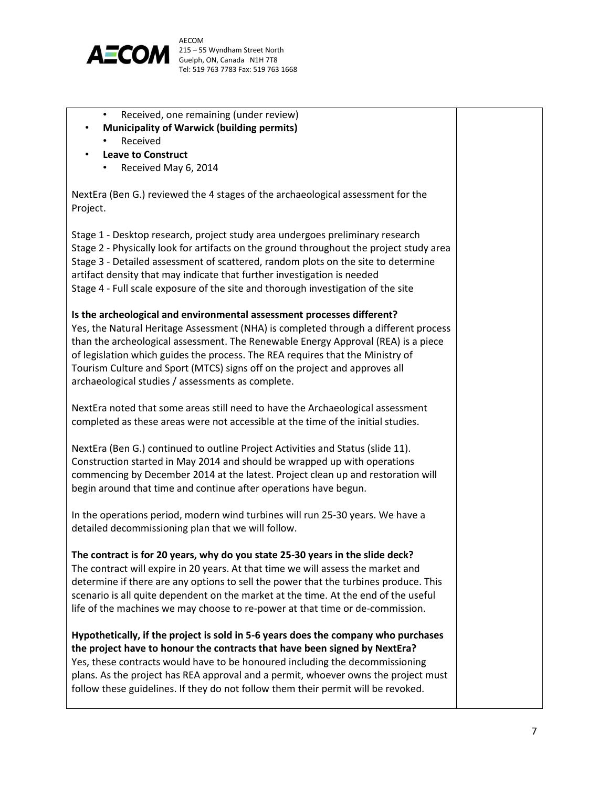

- Received, one remaining (under review)
- **Municipality of Warwick (building permits)** 
	- **Received**
	- **Leave to Construct**
		- Received May 6, 2014

NextEra (Ben G.) reviewed the 4 stages of the archaeological assessment for the Project.

Stage 1 - Desktop research, project study area undergoes preliminary research Stage 2 - Physically look for artifacts on the ground throughout the project study area Stage 3 - Detailed assessment of scattered, random plots on the site to determine artifact density that may indicate that further investigation is needed Stage 4 - Full scale exposure of the site and thorough investigation of the site

**Is the archeological and environmental assessment processes different?** Yes, the Natural Heritage Assessment (NHA) is completed through a different process than the archeological assessment. The Renewable Energy Approval (REA) is a piece of legislation which guides the process. The REA requires that the Ministry of Tourism Culture and Sport (MTCS) signs off on the project and approves all archaeological studies / assessments as complete.

NextEra noted that some areas still need to have the Archaeological assessment completed as these areas were not accessible at the time of the initial studies.

NextEra (Ben G.) continued to outline Project Activities and Status (slide 11). Construction started in May 2014 and should be wrapped up with operations commencing by December 2014 at the latest. Project clean up and restoration will begin around that time and continue after operations have begun.

In the operations period, modern wind turbines will run 25-30 years. We have a detailed decommissioning plan that we will follow.

**The contract is for 20 years, why do you state 25-30 years in the slide deck?** The contract will expire in 20 years. At that time we will assess the market and determine if there are any options to sell the power that the turbines produce. This scenario is all quite dependent on the market at the time. At the end of the useful life of the machines we may choose to re-power at that time or de-commission.

**Hypothetically, if the project is sold in 5-6 years does the company who purchases the project have to honour the contracts that have been signed by NextEra?** Yes, these contracts would have to be honoured including the decommissioning plans. As the project has REA approval and a permit, whoever owns the project must follow these guidelines. If they do not follow them their permit will be revoked.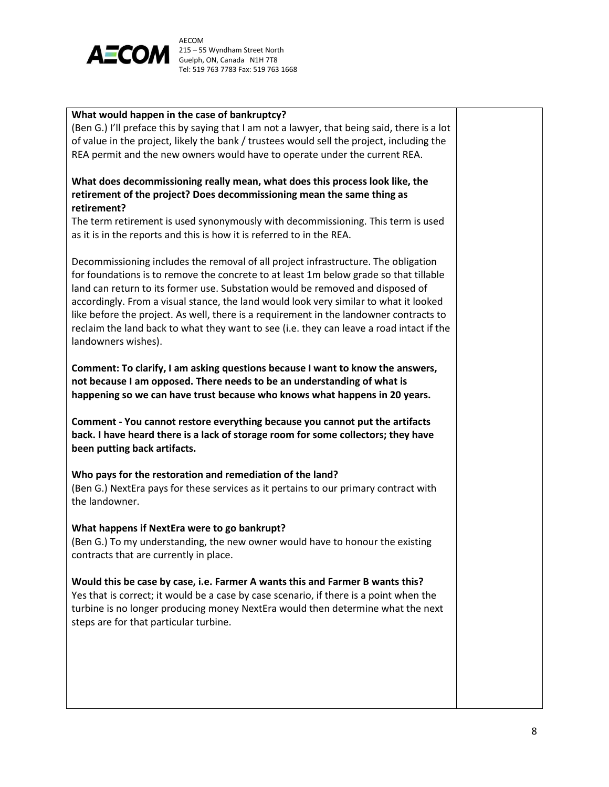

#### **What would happen in the case of bankruptcy?**

(Ben G.) I'll preface this by saying that I am not a lawyer, that being said, there is a lot of value in the project, likely the bank / trustees would sell the project, including the REA permit and the new owners would have to operate under the current REA.

# **What does decommissioning really mean, what does this process look like, the retirement of the project? Does decommissioning mean the same thing as retirement?**

The term retirement is used synonymously with decommissioning. This term is used as it is in the reports and this is how it is referred to in the REA.

Decommissioning includes the removal of all project infrastructure. The obligation for foundations is to remove the concrete to at least 1m below grade so that tillable land can return to its former use. Substation would be removed and disposed of accordingly. From a visual stance, the land would look very similar to what it looked like before the project. As well, there is a requirement in the landowner contracts to reclaim the land back to what they want to see (i.e. they can leave a road intact if the landowners wishes).

**Comment: To clarify, I am asking questions because I want to know the answers, not because I am opposed. There needs to be an understanding of what is happening so we can have trust because who knows what happens in 20 years.** 

**Comment - You cannot restore everything because you cannot put the artifacts back. I have heard there is a lack of storage room for some collectors; they have been putting back artifacts.** 

#### **Who pays for the restoration and remediation of the land?**

(Ben G.) NextEra pays for these services as it pertains to our primary contract with the landowner.

#### **What happens if NextEra were to go bankrupt?**

(Ben G.) To my understanding, the new owner would have to honour the existing contracts that are currently in place.

#### **Would this be case by case, i.e. Farmer A wants this and Farmer B wants this?**

Yes that is correct; it would be a case by case scenario, if there is a point when the turbine is no longer producing money NextEra would then determine what the next steps are for that particular turbine.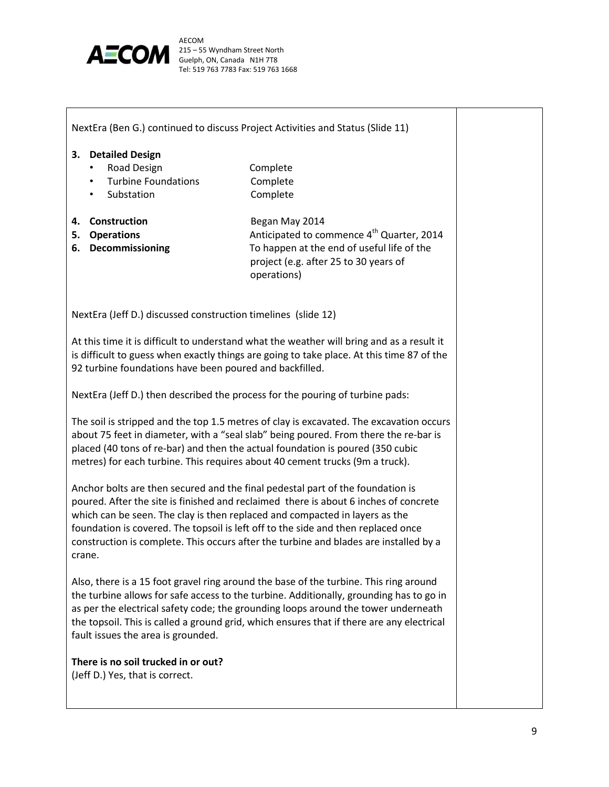

|                                                                                                                                                                                                                                                                                                                                                   | NextEra (Ben G.) continued to discuss Project Activities and Status (Slide 11)                                                                                                                                                                                                                                                                                                                                                      |  |
|---------------------------------------------------------------------------------------------------------------------------------------------------------------------------------------------------------------------------------------------------------------------------------------------------------------------------------------------------|-------------------------------------------------------------------------------------------------------------------------------------------------------------------------------------------------------------------------------------------------------------------------------------------------------------------------------------------------------------------------------------------------------------------------------------|--|
| 3. Detailed Design<br>Road Design<br><b>Turbine Foundations</b><br>$\bullet$<br>Substation<br>$\bullet$<br>Construction<br>4.<br><b>Operations</b><br>5.<br>6. Decommissioning                                                                                                                                                                    | Complete<br>Complete<br>Complete<br>Began May 2014<br>Anticipated to commence 4 <sup>th</sup> Quarter, 2014<br>To happen at the end of useful life of the                                                                                                                                                                                                                                                                           |  |
| NextEra (Jeff D.) discussed construction timelines (slide 12)                                                                                                                                                                                                                                                                                     | project (e.g. after 25 to 30 years of<br>operations)                                                                                                                                                                                                                                                                                                                                                                                |  |
| 92 turbine foundations have been poured and backfilled.                                                                                                                                                                                                                                                                                           | At this time it is difficult to understand what the weather will bring and as a result it<br>is difficult to guess when exactly things are going to take place. At this time 87 of the                                                                                                                                                                                                                                              |  |
|                                                                                                                                                                                                                                                                                                                                                   | NextEra (Jeff D.) then described the process for the pouring of turbine pads:                                                                                                                                                                                                                                                                                                                                                       |  |
| The soil is stripped and the top 1.5 metres of clay is excavated. The excavation occurs<br>about 75 feet in diameter, with a "seal slab" being poured. From there the re-bar is<br>placed (40 tons of re-bar) and then the actual foundation is poured (350 cubic<br>metres) for each turbine. This requires about 40 cement trucks (9m a truck). |                                                                                                                                                                                                                                                                                                                                                                                                                                     |  |
| crane.                                                                                                                                                                                                                                                                                                                                            | Anchor bolts are then secured and the final pedestal part of the foundation is<br>poured. After the site is finished and reclaimed there is about 6 inches of concrete<br>which can be seen. The clay is then replaced and compacted in layers as the<br>foundation is covered. The topsoil is left off to the side and then replaced once<br>construction is complete. This occurs after the turbine and blades are installed by a |  |
| fault issues the area is grounded.                                                                                                                                                                                                                                                                                                                | Also, there is a 15 foot gravel ring around the base of the turbine. This ring around<br>the turbine allows for safe access to the turbine. Additionally, grounding has to go in<br>as per the electrical safety code; the grounding loops around the tower underneath<br>the topsoil. This is called a ground grid, which ensures that if there are any electrical                                                                 |  |
| There is no soil trucked in or out?<br>(Jeff D.) Yes, that is correct.                                                                                                                                                                                                                                                                            |                                                                                                                                                                                                                                                                                                                                                                                                                                     |  |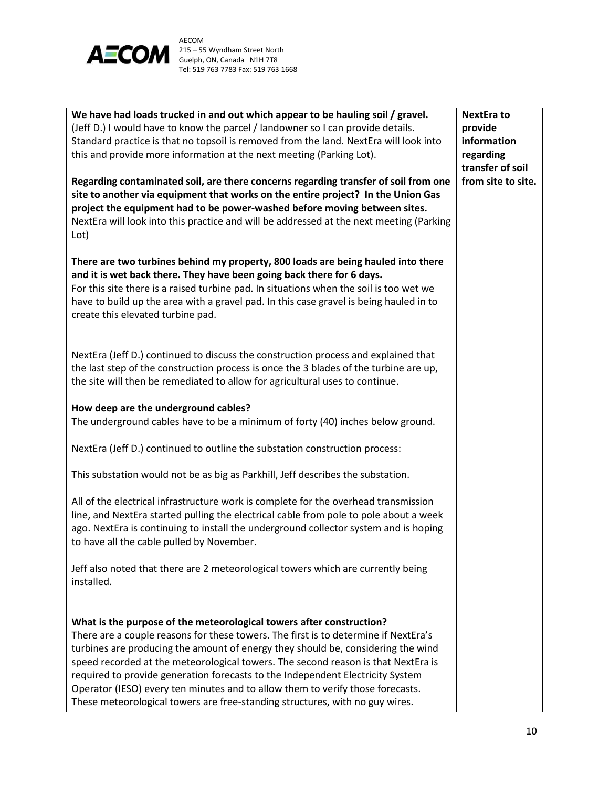

| We have had loads trucked in and out which appear to be hauling soil / gravel.<br>(Jeff D.) I would have to know the parcel / landowner so I can provide details.                                                                                                                                                                                                                                                                                                                                                                                                                        | <b>NextEra to</b><br>provide           |
|------------------------------------------------------------------------------------------------------------------------------------------------------------------------------------------------------------------------------------------------------------------------------------------------------------------------------------------------------------------------------------------------------------------------------------------------------------------------------------------------------------------------------------------------------------------------------------------|----------------------------------------|
| Standard practice is that no topsoil is removed from the land. NextEra will look into                                                                                                                                                                                                                                                                                                                                                                                                                                                                                                    | information                            |
| this and provide more information at the next meeting (Parking Lot).                                                                                                                                                                                                                                                                                                                                                                                                                                                                                                                     | regarding                              |
| Regarding contaminated soil, are there concerns regarding transfer of soil from one<br>site to another via equipment that works on the entire project? In the Union Gas<br>project the equipment had to be power-washed before moving between sites.<br>NextEra will look into this practice and will be addressed at the next meeting (Parking<br>Lot)                                                                                                                                                                                                                                  | transfer of soil<br>from site to site. |
| There are two turbines behind my property, 800 loads are being hauled into there<br>and it is wet back there. They have been going back there for 6 days.<br>For this site there is a raised turbine pad. In situations when the soil is too wet we<br>have to build up the area with a gravel pad. In this case gravel is being hauled in to<br>create this elevated turbine pad.                                                                                                                                                                                                       |                                        |
| NextEra (Jeff D.) continued to discuss the construction process and explained that<br>the last step of the construction process is once the 3 blades of the turbine are up,<br>the site will then be remediated to allow for agricultural uses to continue.                                                                                                                                                                                                                                                                                                                              |                                        |
| How deep are the underground cables?<br>The underground cables have to be a minimum of forty (40) inches below ground.                                                                                                                                                                                                                                                                                                                                                                                                                                                                   |                                        |
| NextEra (Jeff D.) continued to outline the substation construction process:                                                                                                                                                                                                                                                                                                                                                                                                                                                                                                              |                                        |
| This substation would not be as big as Parkhill, Jeff describes the substation.                                                                                                                                                                                                                                                                                                                                                                                                                                                                                                          |                                        |
| All of the electrical infrastructure work is complete for the overhead transmission<br>line, and NextEra started pulling the electrical cable from pole to pole about a week<br>ago. NextEra is continuing to install the underground collector system and is hoping<br>to have all the cable pulled by November.                                                                                                                                                                                                                                                                        |                                        |
| Jeff also noted that there are 2 meteorological towers which are currently being<br>installed.                                                                                                                                                                                                                                                                                                                                                                                                                                                                                           |                                        |
| What is the purpose of the meteorological towers after construction?<br>There are a couple reasons for these towers. The first is to determine if NextEra's<br>turbines are producing the amount of energy they should be, considering the wind<br>speed recorded at the meteorological towers. The second reason is that NextEra is<br>required to provide generation forecasts to the Independent Electricity System<br>Operator (IESO) every ten minutes and to allow them to verify those forecasts.<br>These meteorological towers are free-standing structures, with no guy wires. |                                        |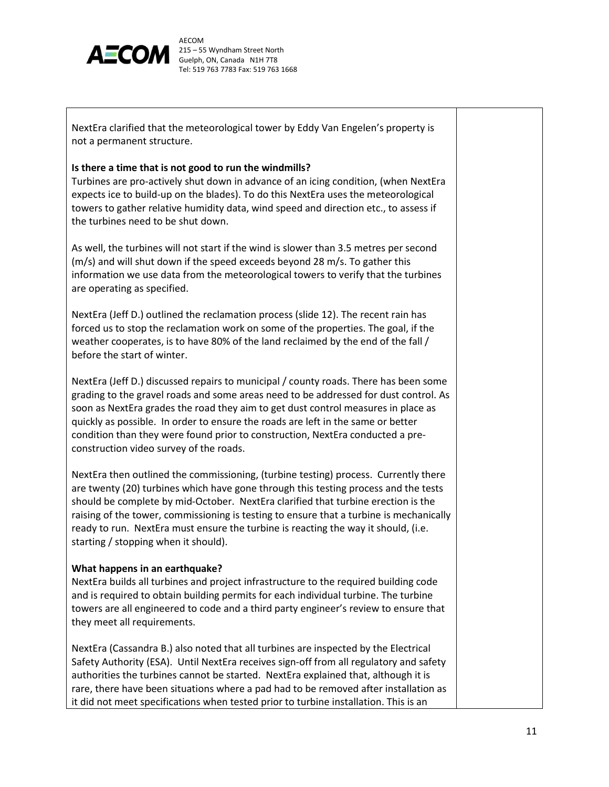

NextEra clarified that the meteorological tower by Eddy Van Engelen's property is not a permanent structure.

#### **Is there a time that is not good to run the windmills?**

Turbines are pro-actively shut down in advance of an icing condition, (when NextEra expects ice to build-up on the blades). To do this NextEra uses the meteorological towers to gather relative humidity data, wind speed and direction etc., to assess if the turbines need to be shut down.

As well, the turbines will not start if the wind is slower than 3.5 metres per second (m/s) and will shut down if the speed exceeds beyond 28 m/s. To gather this information we use data from the meteorological towers to verify that the turbines are operating as specified.

NextEra (Jeff D.) outlined the reclamation process (slide 12). The recent rain has forced us to stop the reclamation work on some of the properties. The goal, if the weather cooperates, is to have 80% of the land reclaimed by the end of the fall / before the start of winter.

NextEra (Jeff D.) discussed repairs to municipal / county roads. There has been some grading to the gravel roads and some areas need to be addressed for dust control. As soon as NextEra grades the road they aim to get dust control measures in place as quickly as possible. In order to ensure the roads are left in the same or better condition than they were found prior to construction, NextEra conducted a preconstruction video survey of the roads.

NextEra then outlined the commissioning, (turbine testing) process. Currently there are twenty (20) turbines which have gone through this testing process and the tests should be complete by mid-October. NextEra clarified that turbine erection is the raising of the tower, commissioning is testing to ensure that a turbine is mechanically ready to run. NextEra must ensure the turbine is reacting the way it should, (i.e. starting / stopping when it should).

#### **What happens in an earthquake?**

NextEra builds all turbines and project infrastructure to the required building code and is required to obtain building permits for each individual turbine. The turbine towers are all engineered to code and a third party engineer's review to ensure that they meet all requirements.

NextEra (Cassandra B.) also noted that all turbines are inspected by the Electrical Safety Authority (ESA). Until NextEra receives sign-off from all regulatory and safety authorities the turbines cannot be started. NextEra explained that, although it is rare, there have been situations where a pad had to be removed after installation as it did not meet specifications when tested prior to turbine installation. This is an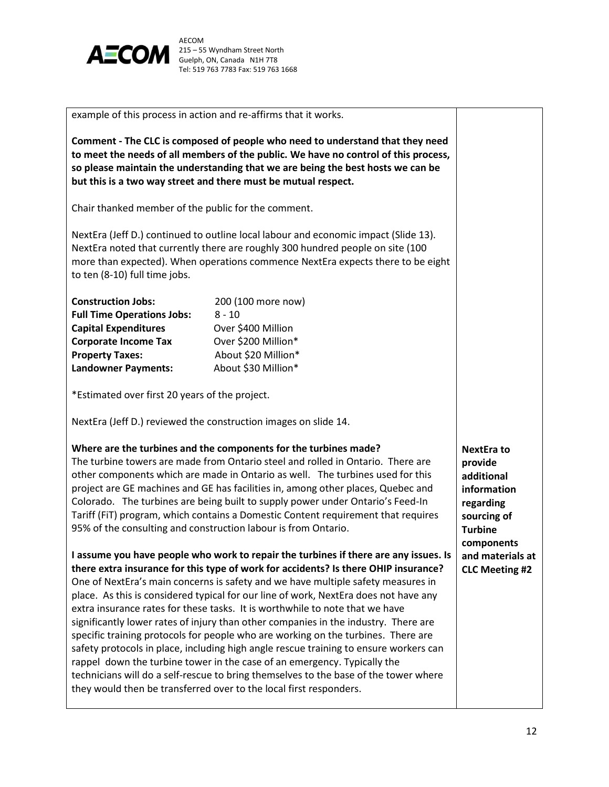

example of this process in action and re-affirms that it works. **Comment - The CLC is composed of people who need to understand that they need to meet the needs of all members of the public. We have no control of this process, so please maintain the understanding that we are being the best hosts we can be** 

Chair thanked member of the public for the comment.

**but this is a two way street and there must be mutual respect.** 

NextEra (Jeff D.) continued to outline local labour and economic impact (Slide 13). NextEra noted that currently there are roughly 300 hundred people on site (100 more than expected). When operations commence NextEra expects there to be eight to ten (8-10) full time jobs.

| <b>Construction Jobs:</b>         | 200 (100 more now)  |
|-----------------------------------|---------------------|
| <b>Full Time Operations Jobs:</b> | $8 - 10$            |
| <b>Capital Expenditures</b>       | Over \$400 Million  |
| <b>Corporate Income Tax</b>       | Over \$200 Million* |
| <b>Property Taxes:</b>            | About \$20 Million* |
| <b>Landowner Payments:</b>        | About \$30 Million* |

\*Estimated over first 20 years of the project.

NextEra (Jeff D.) reviewed the construction images on slide 14.

#### **Where are the turbines and the components for the turbines made?**

The turbine towers are made from Ontario steel and rolled in Ontario. There are other components which are made in Ontario as well. The turbines used for this project are GE machines and GE has facilities in, among other places, Quebec and Colorado. The turbines are being built to supply power under Ontario's Feed-In Tariff (FiT) program, which contains a Domestic Content requirement that requires 95% of the consulting and construction labour is from Ontario.

# **I assume you have people who work to repair the turbines if there are any issues. Is there extra insurance for this type of work for accidents? Is there OHIP insurance?**

One of NextEra's main concerns is safety and we have multiple safety measures in place. As this is considered typical for our line of work, NextEra does not have any extra insurance rates for these tasks. It is worthwhile to note that we have significantly lower rates of injury than other companies in the industry. There are specific training protocols for people who are working on the turbines. There are safety protocols in place, including high angle rescue training to ensure workers can rappel down the turbine tower in the case of an emergency. Typically the technicians will do a self-rescue to bring themselves to the base of the tower where they would then be transferred over to the local first responders.

**NextEra to provide additional information regarding sourcing of Turbine components and materials at CLC Meeting #2**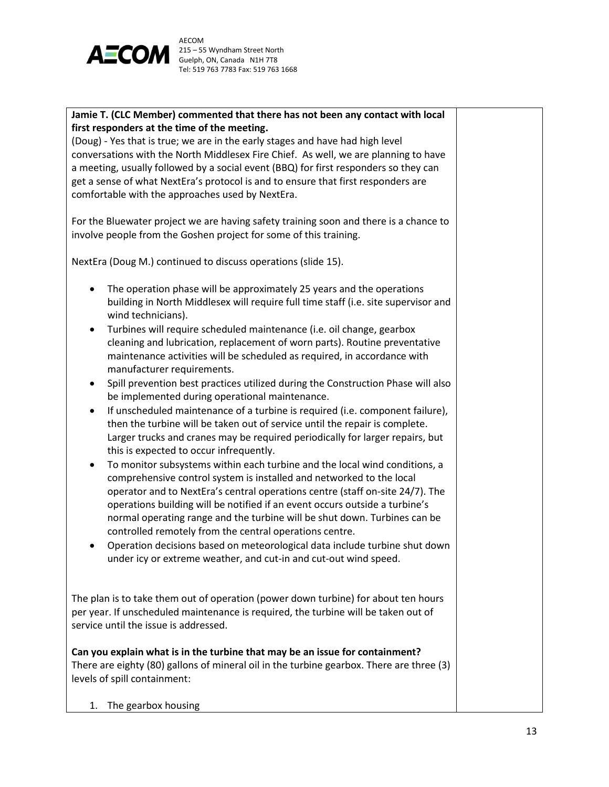

# **Jamie T. (CLC Member) commented that there has not been any contact with local first responders at the time of the meeting.**

(Doug) - Yes that is true; we are in the early stages and have had high level conversations with the North Middlesex Fire Chief. As well, we are planning to have a meeting, usually followed by a social event (BBQ) for first responders so they can get a sense of what NextEra's protocol is and to ensure that first responders are comfortable with the approaches used by NextEra.

For the Bluewater project we are having safety training soon and there is a chance to involve people from the Goshen project for some of this training.

NextEra (Doug M.) continued to discuss operations (slide 15).

- The operation phase will be approximately 25 years and the operations building in North Middlesex will require full time staff (i.e. site supervisor and wind technicians).
- Turbines will require scheduled maintenance (i.e. oil change, gearbox cleaning and lubrication, replacement of worn parts). Routine preventative maintenance activities will be scheduled as required, in accordance with manufacturer requirements.
- Spill prevention best practices utilized during the Construction Phase will also be implemented during operational maintenance.
- If unscheduled maintenance of a turbine is required (i.e. component failure), then the turbine will be taken out of service until the repair is complete. Larger trucks and cranes may be required periodically for larger repairs, but this is expected to occur infrequently.
- To monitor subsystems within each turbine and the local wind conditions, a comprehensive control system is installed and networked to the local operator and to NextEra's central operations centre (staff on-site 24/7). The operations building will be notified if an event occurs outside a turbine's normal operating range and the turbine will be shut down. Turbines can be controlled remotely from the central operations centre.
- Operation decisions based on meteorological data include turbine shut down under icy or extreme weather, and cut-in and cut-out wind speed.

The plan is to take them out of operation (power down turbine) for about ten hours per year. If unscheduled maintenance is required, the turbine will be taken out of service until the issue is addressed.

**Can you explain what is in the turbine that may be an issue for containment?** There are eighty (80) gallons of mineral oil in the turbine gearbox. There are three (3) levels of spill containment:

1. The gearbox housing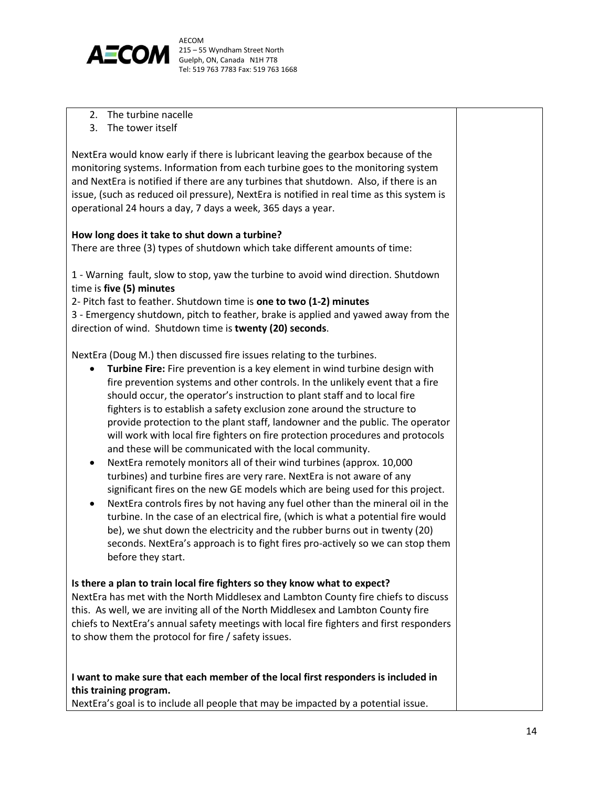

- 2. The turbine nacelle
- 3. The tower itself

NextEra would know early if there is lubricant leaving the gearbox because of the monitoring systems. Information from each turbine goes to the monitoring system and NextEra is notified if there are any turbines that shutdown. Also, if there is an issue, (such as reduced oil pressure), NextEra is notified in real time as this system is operational 24 hours a day, 7 days a week, 365 days a year.

#### **How long does it take to shut down a turbine?**

There are three (3) types of shutdown which take different amounts of time:

1 - Warning fault, slow to stop, yaw the turbine to avoid wind direction. Shutdown time is **five (5) minutes**

2- Pitch fast to feather. Shutdown time is **one to two (1-2) minutes** 3 - Emergency shutdown, pitch to feather, brake is applied and yawed away from the direction of wind. Shutdown time is **twenty (20) seconds**.

NextEra (Doug M.) then discussed fire issues relating to the turbines.

- **Turbine Fire:** Fire prevention is a key element in wind turbine design with fire prevention systems and other controls. In the unlikely event that a fire should occur, the operator's instruction to plant staff and to local fire fighters is to establish a safety exclusion zone around the structure to provide protection to the plant staff, landowner and the public. The operator will work with local fire fighters on fire protection procedures and protocols and these will be communicated with the local community.
- NextEra remotely monitors all of their wind turbines (approx. 10,000 turbines) and turbine fires are very rare. NextEra is not aware of any significant fires on the new GE models which are being used for this project.
- NextEra controls fires by not having any fuel other than the mineral oil in the turbine. In the case of an electrical fire, (which is what a potential fire would be), we shut down the electricity and the rubber burns out in twenty (20) seconds. NextEra's approach is to fight fires pro-actively so we can stop them before they start.

#### **Is there a plan to train local fire fighters so they know what to expect?**

NextEra has met with the North Middlesex and Lambton County fire chiefs to discuss this. As well, we are inviting all of the North Middlesex and Lambton County fire chiefs to NextEra's annual safety meetings with local fire fighters and first responders to show them the protocol for fire / safety issues.

# **I want to make sure that each member of the local first responders is included in this training program.**

NextEra's goal is to include all people that may be impacted by a potential issue.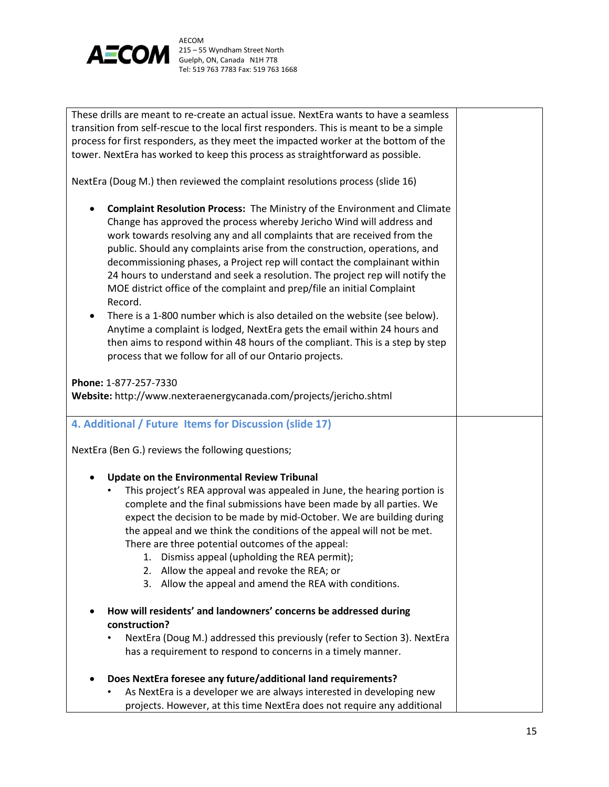

| These drills are meant to re-create an actual issue. NextEra wants to have a seamless<br>transition from self-rescue to the local first responders. This is meant to be a simple<br>process for first responders, as they meet the impacted worker at the bottom of the<br>tower. NextEra has worked to keep this process as straightforward as possible.<br>NextEra (Doug M.) then reviewed the complaint resolutions process (slide 16)                                                                                                                        |  |
|------------------------------------------------------------------------------------------------------------------------------------------------------------------------------------------------------------------------------------------------------------------------------------------------------------------------------------------------------------------------------------------------------------------------------------------------------------------------------------------------------------------------------------------------------------------|--|
|                                                                                                                                                                                                                                                                                                                                                                                                                                                                                                                                                                  |  |
| Complaint Resolution Process: The Ministry of the Environment and Climate<br>Change has approved the process whereby Jericho Wind will address and<br>work towards resolving any and all complaints that are received from the<br>public. Should any complaints arise from the construction, operations, and<br>decommissioning phases, a Project rep will contact the complainant within<br>24 hours to understand and seek a resolution. The project rep will notify the<br>MOE district office of the complaint and prep/file an initial Complaint<br>Record. |  |
| There is a 1-800 number which is also detailed on the website (see below).<br>Anytime a complaint is lodged, NextEra gets the email within 24 hours and<br>then aims to respond within 48 hours of the compliant. This is a step by step<br>process that we follow for all of our Ontario projects.                                                                                                                                                                                                                                                              |  |
|                                                                                                                                                                                                                                                                                                                                                                                                                                                                                                                                                                  |  |
| Phone: 1-877-257-7330<br>Website: http://www.nexteraenergycanada.com/projects/jericho.shtml                                                                                                                                                                                                                                                                                                                                                                                                                                                                      |  |
| 4. Additional / Future Items for Discussion (slide 17)                                                                                                                                                                                                                                                                                                                                                                                                                                                                                                           |  |
| NextEra (Ben G.) reviews the following questions;                                                                                                                                                                                                                                                                                                                                                                                                                                                                                                                |  |
| Update on the Environmental Review Tribunal                                                                                                                                                                                                                                                                                                                                                                                                                                                                                                                      |  |
| This project's REA approval was appealed in June, the hearing portion is                                                                                                                                                                                                                                                                                                                                                                                                                                                                                         |  |
| complete and the final submissions have been made by all parties. We                                                                                                                                                                                                                                                                                                                                                                                                                                                                                             |  |
| expect the decision to be made by mid-October. We are building during                                                                                                                                                                                                                                                                                                                                                                                                                                                                                            |  |
| the appeal and we think the conditions of the appeal will not be met.                                                                                                                                                                                                                                                                                                                                                                                                                                                                                            |  |
| There are three potential outcomes of the appeal:                                                                                                                                                                                                                                                                                                                                                                                                                                                                                                                |  |
| Dismiss appeal (upholding the REA permit);<br>1.                                                                                                                                                                                                                                                                                                                                                                                                                                                                                                                 |  |
| Allow the appeal and revoke the REA; or<br>2.                                                                                                                                                                                                                                                                                                                                                                                                                                                                                                                    |  |
| Allow the appeal and amend the REA with conditions.<br>3.                                                                                                                                                                                                                                                                                                                                                                                                                                                                                                        |  |
| How will residents' and landowners' concerns be addressed during<br>construction?                                                                                                                                                                                                                                                                                                                                                                                                                                                                                |  |
| NextEra (Doug M.) addressed this previously (refer to Section 3). NextEra                                                                                                                                                                                                                                                                                                                                                                                                                                                                                        |  |
| has a requirement to respond to concerns in a timely manner.                                                                                                                                                                                                                                                                                                                                                                                                                                                                                                     |  |
| Does NextEra foresee any future/additional land requirements?                                                                                                                                                                                                                                                                                                                                                                                                                                                                                                    |  |
| As NextEra is a developer we are always interested in developing new                                                                                                                                                                                                                                                                                                                                                                                                                                                                                             |  |
| projects. However, at this time NextEra does not require any additional                                                                                                                                                                                                                                                                                                                                                                                                                                                                                          |  |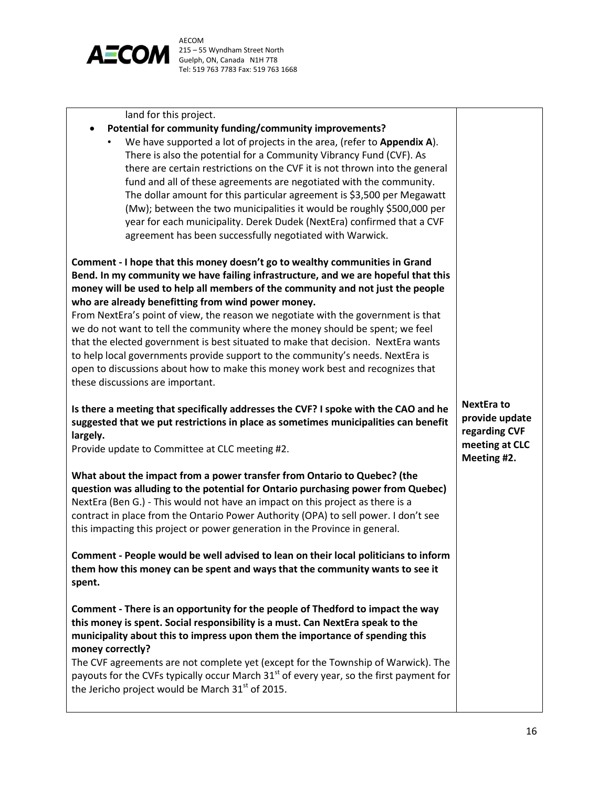

land for this project.

#### **Potential for community funding/community improvements?**

• We have supported a lot of projects in the area, (refer to **Appendix A**). There is also the potential for a Community Vibrancy Fund (CVF). As there are certain restrictions on the CVF it is not thrown into the general fund and all of these agreements are negotiated with the community. The dollar amount for this particular agreement is \$3,500 per Megawatt (Mw); between the two municipalities it would be roughly \$500,000 per year for each municipality. Derek Dudek (NextEra) confirmed that a CVF agreement has been successfully negotiated with Warwick.

**Comment - I hope that this money doesn't go to wealthy communities in Grand Bend. In my community we have failing infrastructure, and we are hopeful that this money will be used to help all members of the community and not just the people who are already benefitting from wind power money.** 

From NextEra's point of view, the reason we negotiate with the government is that we do not want to tell the community where the money should be spent; we feel that the elected government is best situated to make that decision. NextEra wants to help local governments provide support to the community's needs. NextEra is open to discussions about how to make this money work best and recognizes that these discussions are important.

**Is there a meeting that specifically addresses the CVF? I spoke with the CAO and he suggested that we put restrictions in place as sometimes municipalities can benefit largely.** 

Provide update to Committee at CLC meeting #2.

**What about the impact from a power transfer from Ontario to Quebec? (the question was alluding to the potential for Ontario purchasing power from Quebec)** NextEra (Ben G.) - This would not have an impact on this project as there is a contract in place from the Ontario Power Authority (OPA) to sell power. I don't see this impacting this project or power generation in the Province in general.

**Comment - People would be well advised to lean on their local politicians to inform them how this money can be spent and ways that the community wants to see it spent.** 

**Comment - There is an opportunity for the people of Thedford to impact the way this money is spent. Social responsibility is a must. Can NextEra speak to the municipality about this to impress upon them the importance of spending this money correctly?**

The CVF agreements are not complete yet (except for the Township of Warwick). The payouts for the CVFs typically occur March  $31<sup>st</sup>$  of every year, so the first payment for the Jericho project would be March  $31<sup>st</sup>$  of 2015.

**NextEra to provide update regarding CVF meeting at CLC Meeting #2.**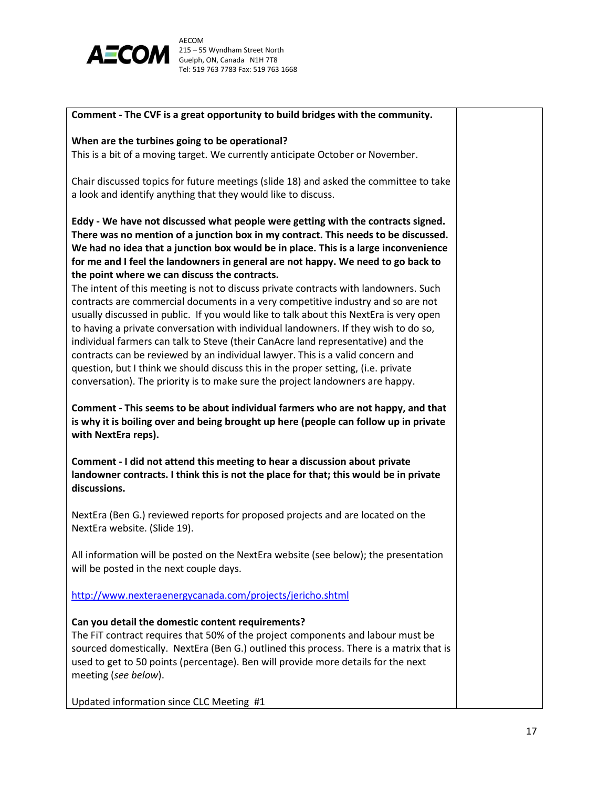

#### **Comment - The CVF is a great opportunity to build bridges with the community.**

#### **When are the turbines going to be operational?**

This is a bit of a moving target. We currently anticipate October or November.

Chair discussed topics for future meetings (slide 18) and asked the committee to take a look and identify anything that they would like to discuss.

**Eddy - We have not discussed what people were getting with the contracts signed. There was no mention of a junction box in my contract. This needs to be discussed. We had no idea that a junction box would be in place. This is a large inconvenience for me and I feel the landowners in general are not happy. We need to go back to the point where we can discuss the contracts.** 

The intent of this meeting is not to discuss private contracts with landowners. Such contracts are commercial documents in a very competitive industry and so are not usually discussed in public. If you would like to talk about this NextEra is very open to having a private conversation with individual landowners. If they wish to do so, individual farmers can talk to Steve (their CanAcre land representative) and the contracts can be reviewed by an individual lawyer. This is a valid concern and question, but I think we should discuss this in the proper setting, (i.e. private conversation). The priority is to make sure the project landowners are happy.

**Comment - This seems to be about individual farmers who are not happy, and that is why it is boiling over and being brought up here (people can follow up in private with NextEra reps).** 

**Comment - I did not attend this meeting to hear a discussion about private landowner contracts. I think this is not the place for that; this would be in private discussions.** 

NextEra (Ben G.) reviewed reports for proposed projects and are located on the NextEra website. (Slide 19).

All information will be posted on the NextEra website (see below); the presentation will be posted in the next couple days.

<http://www.nexteraenergycanada.com/projects/jericho.shtml>

#### **Can you detail the domestic content requirements?**

The FiT contract requires that 50% of the project components and labour must be sourced domestically. NextEra (Ben G.) outlined this process. There is a matrix that is used to get to 50 points (percentage). Ben will provide more details for the next meeting (*see below*).

Updated information since CLC Meeting #1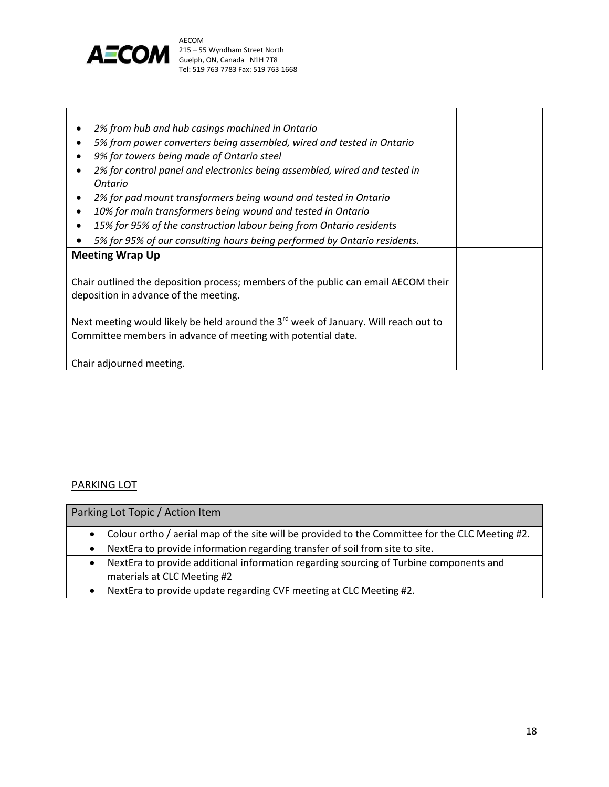

 *2% from hub and hub casings machined in Ontario 5% from power converters being assembled, wired and tested in Ontario 9% for towers being made of Ontario steel 2% for control panel and electronics being assembled, wired and tested in Ontario 2% for pad mount transformers being wound and tested in Ontario 10% for main transformers being wound and tested in Ontario 15% for 95% of the construction labour being from Ontario residents 5% for 95% of our consulting hours being performed by Ontario residents.* **Meeting Wrap Up** Chair outlined the deposition process; members of the public can email AECOM their deposition in advance of the meeting. Next meeting would likely be held around the 3<sup>rd</sup> week of January. Will reach out to Committee members in advance of meeting with potential date. Chair adjourned meeting.

#### PARKING LOT

| Parking Lot Topic / Action Item                                                                                       |
|-----------------------------------------------------------------------------------------------------------------------|
| Colour ortho / aerial map of the site will be provided to the Committee for the CLC Meeting #2.                       |
| NextEra to provide information regarding transfer of soil from site to site.                                          |
| NextEra to provide additional information regarding sourcing of Turbine components and<br>materials at CLC Meeting #2 |
| NextEra to provide update regarding CVF meeting at CLC Meeting #2.                                                    |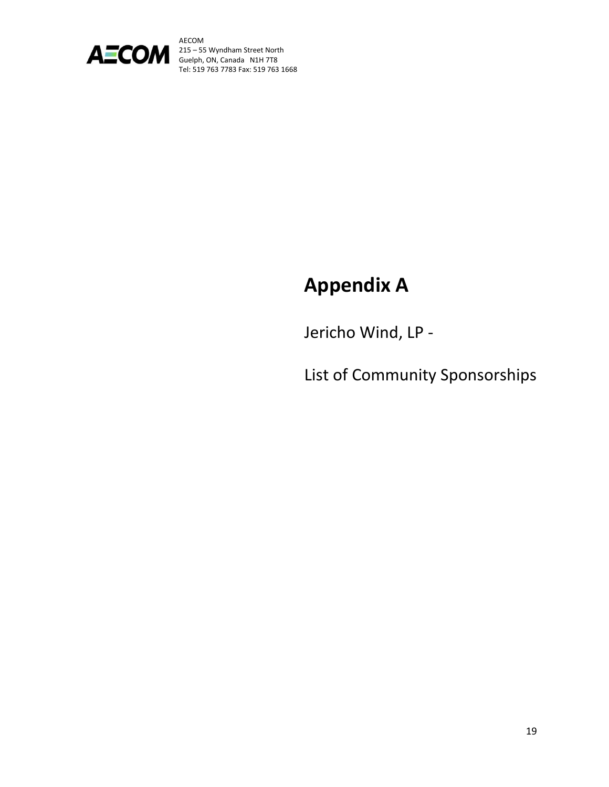

# **Appendix A**

Jericho Wind, LP -

List of Community Sponsorships